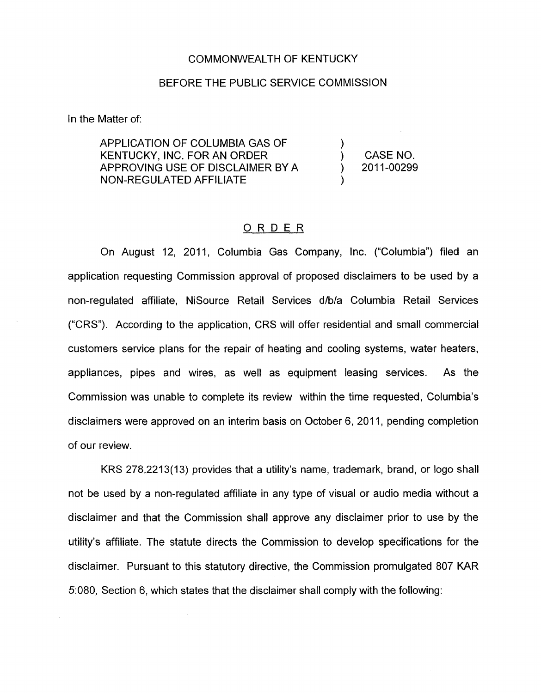## COMMONWEALTH OF KENTUCKY

## BEFORE THE PUBLIC SERVICE COMMISSION

In the Matter of:

APPLICATION OF COLUMBIA GAS OF KENTUCKY, INC. FOR AN ORDER APPROVING USE OF DISCLAIMER BY A NON-REGULATED AFFILIATE

CASE NO. ) 2011-00299

 $\sum_{i=1}^{n}$ 

 $\mathcal{L}_{\mathcal{L}}$ 

## ORDER

On August 12, 2011, Columbia Gas Company, Inc. ("Columbia") filed an application requesting Commission approval of proposed disclaimers to be used by a non-regulated affiliate, NiSource Retail Services d/b/a Columbia Retail Services ("CRS"). According to the application, CRS will offer residential and small commercial customers service plans for the repair of heating and cooling systems, water heaters, appliances, pipes and wires, as well as equipment leasing services. As the Commission was unable to complete its review within the time requested, Columbia's disclaimers were approved on an interim basis on October 6, 2011, pending completion of our review.

KRS 278.2213(13) provides that a utility's name, trademark, brand, or logo shall not be used by a non-regulated affiliate in any type of visual or audio media without a disclaimer and that the Commission shall approve any disclaimer prior to use by the utility's affiliate. The statute directs the Commission to develop specifications for the disclaimer. Pursuant to this statutory directive, the Commission promulgated 807 KAR 5:080, Section 6, which states that the disclaimer shall comply with the following: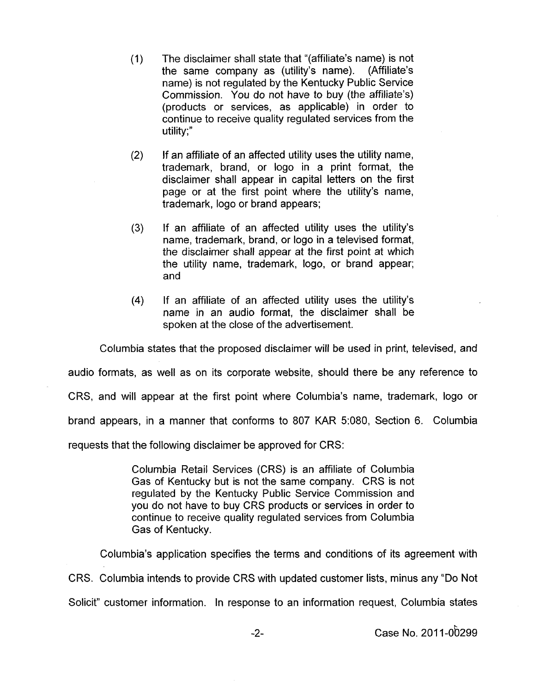$(1)$ The disclaimer shall state that "(affiliate's name) is not the same company as (utility's name). (Affiliate's the same company as (utility's name). name) is not regulated by the Kentucky Public Service Commission. You do not have to buy (the affiliate's) (products or services, as applicable) in order to continue to receive quality regulated services from the  $utility$ ;"

 $(2)$ If an affiliate of an affected utility uses the utility name, trademark, brand, or logo in a print format, the disclaimer shall appear in capital letters on the first page or at the first point where the utility's name, trademark, logo or brand appears;

If an affiliate of an affected utility uses the utility's  $(3)$ name, trademark, brand, or logo in a televised format, the disclaimer shall appear at the first point at which the utility name, trademark, logo, or brand appear; and

 $(4)$ If an affiliate of an affected utility uses the utility's name in an audio format, the disclaimer shall be spoken at the close of the advertisement.

Columbia states that the proposed disclaimer will be used in print, televised, and audio formats, as well as on its corporate website, should there be any reference to CRS, and will appear at the first point where Columbia's name, trademark, logo or brand appears, in a manner that conforms to 807 KAR 5:080, Section 6. Columbia requests that the following disclaimer be approved for CRS:

> Columbia Retail Services (CRS) is an affiliate of Columbia Gas of Kentucky but is not the same company. CRS is not regulated by the Kentucky Public Service Commission and you do not have to buy CRS products or services in order to continue to receive quality regulated services from Columbia Gas of Kentucky.

Columbia's application specifies the terms and conditions of its agreement with CRS. Columbia intends to provide CRS with updated customer lists, minus any "Do Not Solicit" customer information. In response to an information request, Columbia states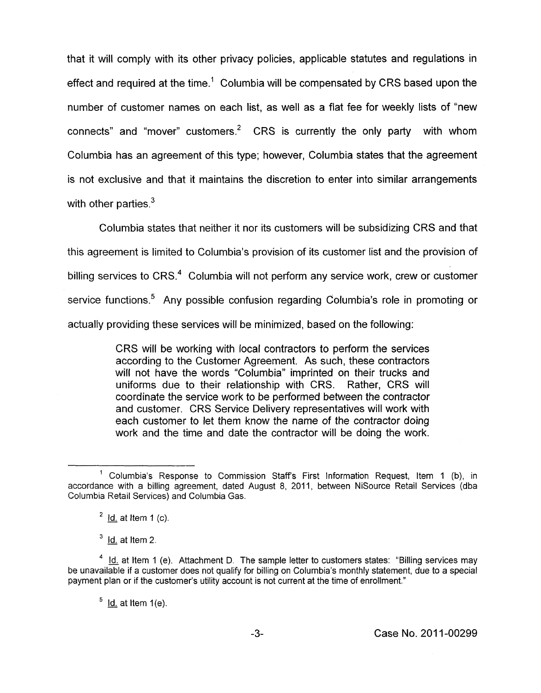that it will comply with its other privacy policies, applicable statutes and regulations in effect and required at the time.<sup>1</sup> Columbia will be compensated by CRS based upon the number of customer names on each list, as well as a flat fee for weekly lists of "new connects" and "mover" customers.<sup>2</sup> CRS is currently the only party with whom Columbia has an agreement of this type; however, Columbia states that the agreement is not exclusive and that it maintains the discretion to enter into similar arrangements with other parties. $3$ 

Columbia states that neither it nor its customers will be subsidizing CRS and that this agreement is limited to Columbia's provision of its customer list and the provision of billing services to CRS.<sup>4</sup> Columbia will not perform any service work, crew or customer service functions.<sup>5</sup> Any possible confusion regarding Columbia's role in promoting or actually providing these services will be minimized, based on the following:

> CRS will be working with local contractors to perform the services according to the Customer Agreement. As such, these contractors will not have the words "Columbia" imprinted on their trucks and uniforms due to their relationship with CRS. Rather, CRS will coordinate the service work to be performed between the contractor and customer. CRS Service Delivery representatives will work with each customer to let them know the name of the contractor doing work and the time and date the contractor will be doing the work.

 $3$ -Id. at Item 2.

 $<sup>5</sup>$  Id. at Item 1(e).</sup>

<sup>&</sup>lt;sup>1</sup> Columbia's Response to Commission Staff's First Information Request, Item 1 (b), in accordance with a billing agreement, dated August 8, 2011, between NiSource Retail Services (dba Columbia Retail Services) and Columbia Gas.

Id. at Item 1 (c). **<sup>2</sup>** -

<sup>&</sup>lt;sup>4</sup> Id. at Item 1 (e). Attachment D. The sample letter to customers states: "Billing services may be unavailable if a customer does not qualify for billing on Columbia's monthly statement, due to a special payment plan or if the customer's utility account is not current at the time of enrollment."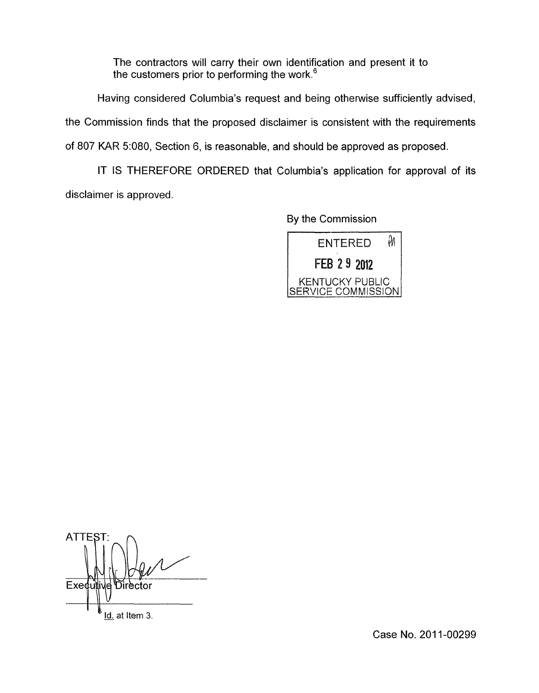The contractors will carry their own identification and present it to the customers prior to performing the work.<sup>6</sup>

Having considered Columbia's request and being otherwise sufficiently advised, the Commission finds that the proposed disclaimer is consistent with the requirements of 807 KAR 5:080, Section 6, is reasonable, and should be approved as proposed.

IT IS THEREFORE ORDERED that Columbia's application for approval of its disclaimer is approved.

By the Commission



**ATTEST** Exedutiv Director Id. at Item 3.

Case No. 2011-00299